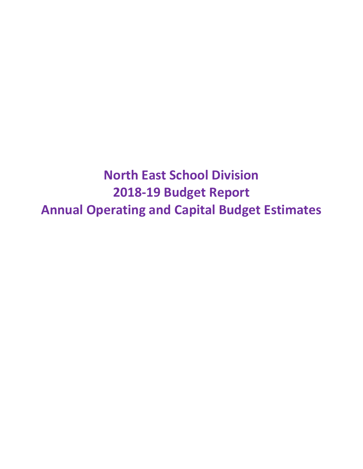**North East School Division 2018-19 Budget Report Annual Operating and Capital Budget Estimates**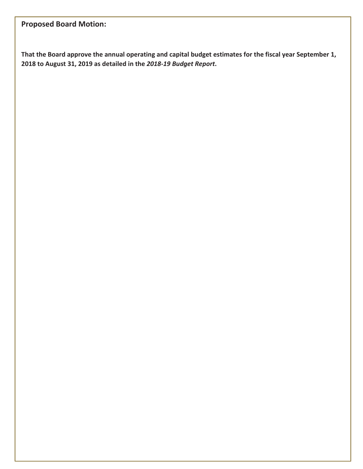# **Proposed Board Motion:**

**That the Board approve the annual operating and capital budget estimates for the fiscal year September 1, 2018 to August 31, 2019 as detailed in the** *2018-19 Budget Report***.**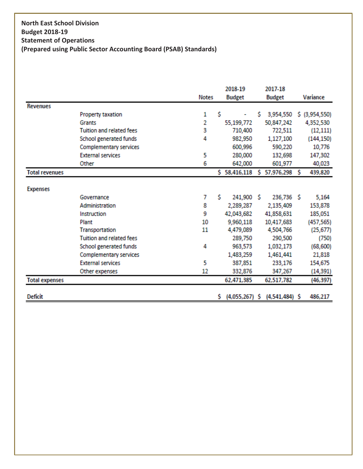# **North East School Division Budget 2018-19 Statement of Operations (Prepared using Public Sector Accounting Board (PSAB) Standards)**

|                       |                                 |              |     | 2018-19                        |   | 2017-18          |   |                 |
|-----------------------|---------------------------------|--------------|-----|--------------------------------|---|------------------|---|-----------------|
|                       |                                 | <b>Notes</b> |     | <b>Budget</b><br><b>Budget</b> |   | Variance         |   |                 |
| <b>Revenues</b>       |                                 |              |     |                                |   |                  |   |                 |
|                       | Property taxation               | 1            | Ś   |                                | s | 3,954,550        |   | $$$ (3,954,550) |
|                       | Grants                          | 2            |     | 55,199,772                     |   | 50,847,242       |   | 4,352,530       |
|                       | <b>Tuition and related fees</b> | 3            |     | 710,400                        |   | 722,511          |   | (12, 111)       |
|                       | School generated funds          | 4            |     | 982,950                        |   | 1,127,100        |   | (144, 150)      |
|                       | <b>Complementary services</b>   |              |     | 600,996                        |   | 590,220          |   | 10,776          |
|                       | <b>External services</b>        | 5            |     | 280,000                        |   | 132,698          |   | 147,302         |
|                       | Other                           | 6            |     | 642,000                        |   | 601,977          |   | 40,023          |
| <b>Total revenues</b> |                                 |              | Ś.  | 58,416,118                     | s | 57,976,298       | S | 439,820         |
| <b>Expenses</b>       |                                 |              |     |                                |   |                  |   |                 |
|                       | Governance                      | 7            | Ś.  | 241,900 \$                     |   | 236,736 \$       |   | 5,164           |
|                       | Administration                  | 8            |     | 2,289,287                      |   | 2,135,409        |   | 153,878         |
|                       | <b>Instruction</b>              | 9            |     | 42,043,682                     |   | 41,858,631       |   | 185,051         |
|                       | Plant                           | 10           |     | 9,960,118                      |   | 10,417,683       |   | (457, 565)      |
|                       | <b>Transportation</b>           | 11           |     | 4,479,089                      |   | 4,504,766        |   | (25,677)        |
|                       | <b>Tuition and related fees</b> |              |     | 289,750                        |   | 290,500          |   | (750)           |
|                       | School generated funds          | 4            |     | 963,573                        |   | 1,032,173        |   | (68, 600)       |
|                       | <b>Complementary services</b>   |              |     | 1,483,259                      |   | 1,461,441        |   | 21,818          |
|                       | <b>External services</b>        | 5            |     | 387,851                        |   | 233,176          |   | 154,675         |
|                       | Other expenses                  | 12           |     | 332,876                        |   | 347,267          |   | (14, 391)       |
| <b>Total expenses</b> |                                 |              |     | 62,471,385                     |   | 62,517,782       |   | (46,397)        |
| <b>Deficit</b>        |                                 |              | \$. | $(4,055,267)$ \$               |   | $(4,541,484)$ \$ |   | 486,217         |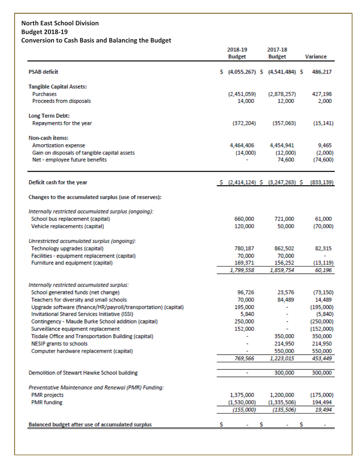# **North East School Division Budget 2018-19 Conversion to Cash Basis and Balancing the Budget**

|                                                                                   |   | 2018-19               | 2017-18                           |                     |
|-----------------------------------------------------------------------------------|---|-----------------------|-----------------------------------|---------------------|
|                                                                                   |   | <b>Budget</b>         | <b>Budget</b>                     | Variance            |
| <b>PSAB deficit</b>                                                               | s |                       | $(4,055,267)$ \$ $(4,541,484)$ \$ | 486,217             |
|                                                                                   |   |                       |                                   |                     |
| <b>Tangible Capital Assets:</b>                                                   |   |                       |                                   |                     |
| Purchases<br>Proceeds from disposals                                              |   | (2,451,059)<br>14,000 | (2,878,257)<br>12,000             | 427,198<br>2,000    |
|                                                                                   |   |                       |                                   |                     |
| Long Term Debt:                                                                   |   |                       |                                   |                     |
| Repayments for the year                                                           |   | (372, 204)            | (357,063)                         | (15, 141)           |
| <b>Non-cash items:</b>                                                            |   |                       |                                   |                     |
| Amortization expense                                                              |   | 4,464,406             | 4,454,941                         | 9,465               |
| Gain on disposals of tangible capital assets                                      |   | (14,000)              | (12,000)                          | (2,000)             |
| Net - employee future benefits                                                    |   |                       | 74,600                            | (74, 600)           |
| Deficit cash for the year                                                         |   | $5(2,414,124)$ \$     | $(3,247,263)$ \$                  | (833, 139)          |
|                                                                                   |   |                       |                                   |                     |
| Changes to the accumulated surplus (use of reserves):                             |   |                       |                                   |                     |
| Internally restricted accumulated surplus (ongoing):                              |   |                       |                                   |                     |
| School bus replacement (capital)                                                  |   | 660,000               | 721,000                           | 61,000              |
| Vehicle replacements (capital)                                                    |   | 120,000               | 50,000                            | (70,000)            |
| Unrestricted accumulated surplus (ongoing):                                       |   |                       |                                   |                     |
| Technology upgrades (capital)                                                     |   | 780,187               | 862,502                           | 82,315              |
| Facilities - equipment replacement (capital)                                      |   | 70,000                | 70,000                            |                     |
| Furniture and equipment (capital)                                                 |   | 169,371<br>1,799,558  | 156,252<br>1,859,754              | (13, 119)<br>60,196 |
|                                                                                   |   |                       |                                   |                     |
| Internally restricted accumulated surplus:<br>School generated funds (net change) |   | 96,726                | 23,576                            | (73, 150)           |
| Teachers for diversity and small schools                                          |   | 70,000                | 84,489                            | 14,489              |
| Upgrade software (finance/HR/payroll/transportation) (capital)                    |   | 195,000               |                                   | (195,000)           |
| Invitational Shared Services Initiative (ISSI)                                    |   | 5,840                 |                                   | (5, 840)            |
| Contingency - Maude Burke School addition (capital)                               |   | 250,000               |                                   | (250,000)           |
| Surveillance equipment replacement                                                |   | 152,000               |                                   | (152,000)           |
| Tisdale Office and Transportation Building (capital)                              |   |                       | 350,000                           | 350,000             |
| <b>NESIP grants to schools</b>                                                    |   |                       | 214,950                           | 214,950             |
| Computer hardware replacement (capital)                                           |   | ۰                     | 550,000                           | 550,000             |
|                                                                                   |   | 769,566               | 1,223,015                         | 453,449             |
| Demolition of Stewart Hawke School building                                       |   | ۰                     | 300,000                           | 300,000             |
| Preventative Maintenance and Renewal (PMR) Funding:                               |   |                       |                                   |                     |
| <b>PMR</b> projects                                                               |   | 1,375,000             | 1,200,000                         | (175,000)           |
| <b>PMR</b> funding                                                                |   | (1,530,000)           | (1, 335, 506)                     | 194,494             |
|                                                                                   |   | (155,000)             | (135, 506)                        | 19,494              |
| Balanced budget after use of accumulated surplus                                  |   |                       |                                   |                     |
|                                                                                   |   |                       |                                   |                     |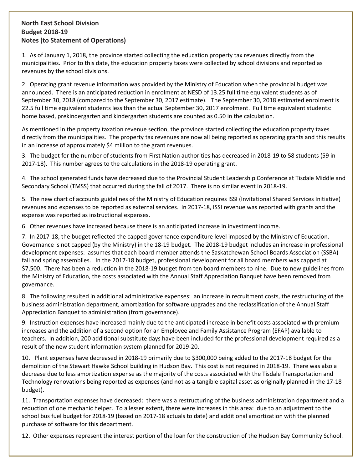### **North East School Division Budget 2018-19 Notes (to Statement of Operations)**

1. As of January 1, 2018, the province started collecting the education property tax revenues directly from the municipalities. Prior to this date, the education property taxes were collected by school divisions and reported as revenues by the school divisions.

2. Operating grant revenue information was provided by the Ministry of Education when the provincial budget was announced. There is an anticipated reduction in enrolment at NESD of 13.25 full time equivalent students as of September 30, 2018 (compared to the September 30, 2017 estimate). The September 30, 2018 estimated enrolment is 22.5 full time equivalent students less than the actual September 30, 2017 enrolment. Full time equivalent students: home based, prekindergarten and kindergarten students are counted as 0.50 in the calculation.

As mentioned in the property taxation revenue section, the province started collecting the education property taxes directly from the municipalities. The property tax revenues are now all being reported as operating grants and this results in an increase of approximately \$4 million to the grant revenues.

3. The budget for the number of students from First Nation authorities has decreased in 2018-19 to 58 students (59 in 2017-18). This number agrees to the calculations in the 2018-19 operating grant.

4. The school generated funds have decreased due to the Provincial Student Leadership Conference at Tisdale Middle and Secondary School (TMSS) that occurred during the fall of 2017. There is no similar event in 2018-19.

5. The new chart of accounts guidelines of the Ministry of Education requires ISSI (Invitational Shared Services Initiative) revenues and expenses to be reported as external services. In 2017-18, ISSI revenue was reported with grants and the expense was reported as instructional expenses.

6. Other revenues have increased because there is an anticipated increase in investment income.

7. In 2017-18, the budget reflected the capped governance expenditure level imposed by the Ministry of Education. Governance is not capped (by the Ministry) in the 18-19 budget. The 2018-19 budget includes an increase in professional development expenses: assumes that each board member attends the Saskatchewan School Boards Association (SSBA) fall and spring assemblies. In the 2017-18 budget, professional development for all board members was capped at \$7,500. There has been a reduction in the 2018-19 budget from ten board members to nine. Due to new guidelines from the Ministry of Education, the costs associated with the Annual Staff Appreciation Banquet have been removed from governance.

8. The following resulted in additional administrative expenses: an increase in recruitment costs, the restructuring of the business administration department, amortization for software upgrades and the reclassification of the Annual Staff Appreciation Banquet to administration (from governance).

9. Instruction expenses have increased mainly due to the anticipated increase in benefit costs associated with premium increases and the addition of a second option for an Employee and Family Assistance Program (EFAP) available to teachers. In addition, 200 additional substitute days have been included for the professional development required as a result of the new student information system planned for 2019-20.

10. Plant expenses have decreased in 2018-19 primarily due to \$300,000 being added to the 2017-18 budget for the demolition of the Stewart Hawke School building in Hudson Bay. This cost is not required in 2018-19. There was also a decrease due to less amortization expense as the majority of the costs associated with the Tisdale Transportation and Technology renovations being reported as expenses (and not as a tangible capital asset as originally planned in the 17-18 budget).

11. Transportation expenses have decreased: there was a restructuring of the business administration department and a reduction of one mechanic helper. To a lesser extent, there were increases in this area: due to an adjustment to the school bus fuel budget for 2018-19 (based on 2017-18 actuals to date) and additional amortization with the planned purchase of software for this department.

12. Other expenses represent the interest portion of the loan for the construction of the Hudson Bay Community School.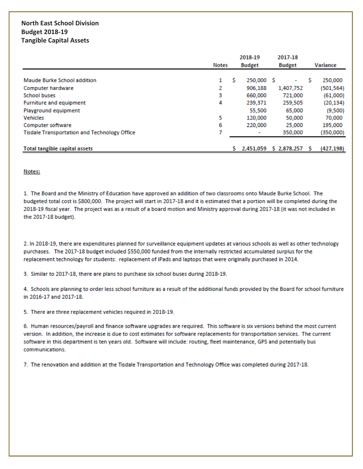# **North East School Division Budget 2018-19 Tangible Capital Assets**

|                                                     |   | 2018-19<br><b>Budget</b><br>Notes |            | 2017-18       |   |            |
|-----------------------------------------------------|---|-----------------------------------|------------|---------------|---|------------|
|                                                     |   |                                   |            | <b>Budget</b> |   | Variance   |
|                                                     |   |                                   |            |               |   |            |
| Maude Burke School addition                         | 1 | s                                 | 250,000 \$ | ٠             | s | 250,000    |
| Computer hardware                                   | 2 |                                   | 906.188    | 1,407,752     |   | (501, 564) |
| <b>School buses</b>                                 | 3 |                                   | 660,000    | 721,000       |   | (61,000)   |
| Furniture and equipment                             | 4 |                                   | 239,371    | 259,505       |   | (20, 134)  |
| Playground equipment                                |   |                                   | 55,500     | 65,000        |   | (9,500)    |
| <b>Vehicles</b>                                     | 5 |                                   | 120,000    | 50,000        |   | 70,000     |
| Computer software                                   | 6 |                                   | 220,000    | 25,000        |   | 195,000    |
| <b>Tisdale Transportation and Technology Office</b> |   |                                   | ٠          | 350,000       |   | (350,000)  |
| <b>Total tangible capital assets</b>                |   |                                   | 2,451,059  | \$2,878,257   |   | (427, 198) |

#### Notes:

1. The Board and the Ministry of Education have approved an addition of two classrooms onto Maude Burke School. The budgeted total cost is \$800,000. The project will start in 2017-18 and it is estimated that a portion will be completed during the 2018-19 fiscal year. The project was as a result of a board motion and Ministry approval during 2017-18 (it was not included in the 2017-18 budget).

2. In 2018-19, there are expenditures planned for surveillance equipment updates at various schools as well as other technology purchases. The 2017-18 budget included \$550,000 funded from the internally restricted accumulated surplus for the replacement technology for students: replacement of iPads and laptops that were originally purchased in 2014.

3. Similar to 2017-18, there are plans to purchase six school buses during 2018-19.

4. Schools are planning to order less school furniture as a result of the additional funds provided by the Board for school furniture in 2016-17 and 2017-18.

5. There are three replacement vehicles required in 2018-19.

6. Human resources/payroll and finance software upgrades are required. This software is six versions behind the most current version. In addition, the increase is due to cost estimates for software replacements for transportation services. The current software in this department is ten years old. Software will include: routing, fleet maintenance, GPS and potentially bus communications.

7. The renovation and addition at the Tisdale Transportation and Technology Office was completed during 2017-18.